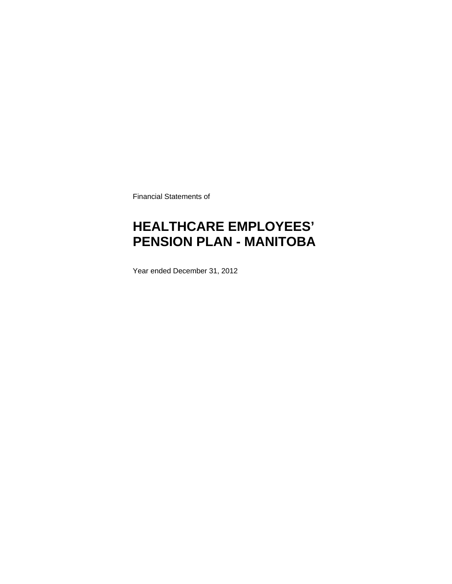Financial Statements of

# **HEALTHCARE EMPLOYEES' PENSION PLAN - MANITOBA**

Year ended December 31, 2012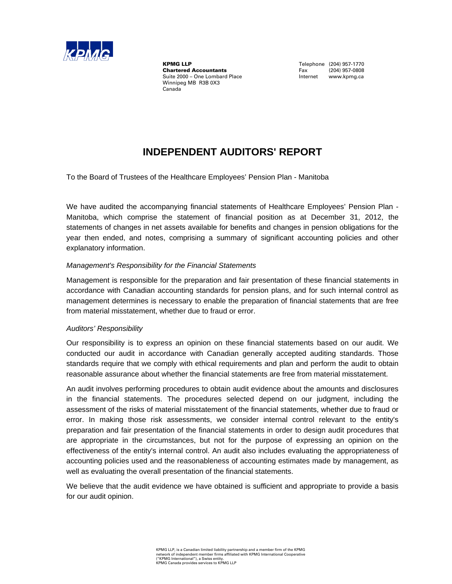

**KPMG LLP**<br> **Chartered Accountants**<br> **Chartered Accountants**<br>
Tax (204) 957-0808 **Chartered Accountants**<br>
Suite 2000 – One Lombard Place<br>
Interr Winnipeg MB R3B 0X3 Canada

Internet www.kpmg.ca

## **INDEPENDENT AUDITORS' REPORT**

To the Board of Trustees of the Healthcare Employees' Pension Plan - Manitoba

We have audited the accompanying financial statements of Healthcare Employees' Pension Plan -Manitoba, which comprise the statement of financial position as at December 31, 2012, the statements of changes in net assets available for benefits and changes in pension obligations for the year then ended, and notes, comprising a summary of significant accounting policies and other explanatory information.

### *Management's Responsibility for the Financial Statements*

Management is responsible for the preparation and fair presentation of these financial statements in accordance with Canadian accounting standards for pension plans, and for such internal control as management determines is necessary to enable the preparation of financial statements that are free from material misstatement, whether due to fraud or error.

### *Auditors' Responsibility*

Our responsibility is to express an opinion on these financial statements based on our audit. We conducted our audit in accordance with Canadian generally accepted auditing standards. Those standards require that we comply with ethical requirements and plan and perform the audit to obtain reasonable assurance about whether the financial statements are free from material misstatement.

An audit involves performing procedures to obtain audit evidence about the amounts and disclosures in the financial statements. The procedures selected depend on our judgment, including the assessment of the risks of material misstatement of the financial statements, whether due to fraud or error. In making those risk assessments, we consider internal control relevant to the entity's preparation and fair presentation of the financial statements in order to design audit procedures that are appropriate in the circumstances, but not for the purpose of expressing an opinion on the effectiveness of the entity's internal control. An audit also includes evaluating the appropriateness of accounting policies used and the reasonableness of accounting estimates made by management, as well as evaluating the overall presentation of the financial statements.

We believe that the audit evidence we have obtained is sufficient and appropriate to provide a basis for our audit opinion.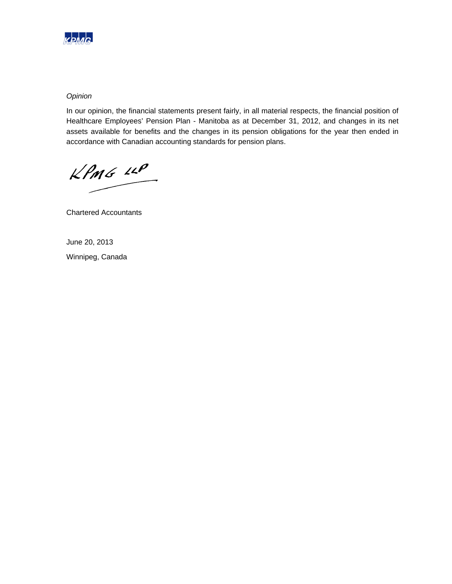

## *Opinion*

In our opinion, the financial statements present fairly, in all material respects, the financial position of Healthcare Employees' Pension Plan - Manitoba as at December 31, 2012, and changes in its net assets available for benefits and the changes in its pension obligations for the year then ended in accordance with Canadian accounting standards for pension plans.

 $kPMS$   $\mu P$ 

Chartered Accountants

June 20, 2013 Winnipeg, Canada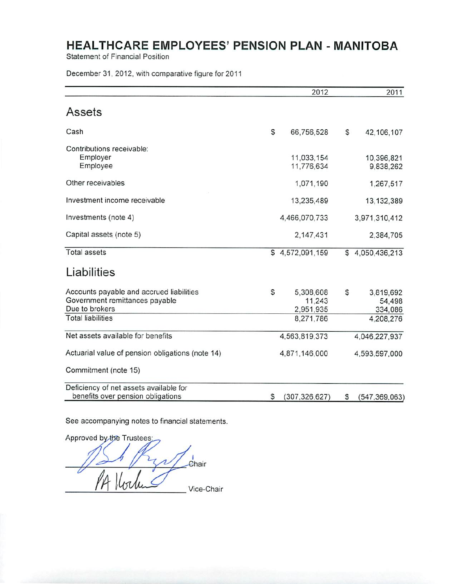Statement of Financial Position

December 31, 2012, with comparative figure for 2011

|                                                                                                                          |   | 2012                                          |    | 2011                                        |
|--------------------------------------------------------------------------------------------------------------------------|---|-----------------------------------------------|----|---------------------------------------------|
| Assets                                                                                                                   |   |                                               |    |                                             |
| Cash                                                                                                                     | S | 66,756,528                                    | S  | 42,106,107                                  |
| Contributions receivable:<br>Employer<br>Employee                                                                        |   | 11,033,154<br>11,776,634                      |    | 10,396,821<br>9,838,262                     |
| Other receivables                                                                                                        |   | 1,071,190                                     |    | 1,267,517                                   |
| Investment income receivable                                                                                             |   | 13,235,489                                    |    | 13, 132, 389                                |
| Investments (note 4)                                                                                                     |   | 4,466,070,733                                 |    | 3,971,310,412                               |
| Capital assets (note 5)                                                                                                  |   | 2,147,431                                     |    | 2,384,705                                   |
| <b>Total assets</b>                                                                                                      |   | \$4,572,091,159                               |    | \$4,050,436,213                             |
| Liabilities                                                                                                              |   |                                               |    |                                             |
| Accounts payable and accrued liabilities<br>Government remittances payable<br>Due to brokers<br><b>Total liabilities</b> | S | 5,308,608<br>11,243<br>2,951,935<br>8,271,786 | S  | 3,819,692<br>54,498<br>334,086<br>4,208,276 |
| Net assets available for benefits                                                                                        |   | 4,563,819,373                                 |    | 4,046,227,937                               |
| Actuarial value of pension obligations (note 14)                                                                         |   | 4,871,146,000                                 |    | 4,593,597,000                               |
| Commitment (note 15)                                                                                                     |   |                                               |    |                                             |
| Deficiency of net assets available for<br>benefits over pension obligations                                              | S | (307, 326, 627)                               | \$ | (547, 369, 063)                             |

See accompanying notes to financial statements.

Approved by the Trustees Chair Vice-Chair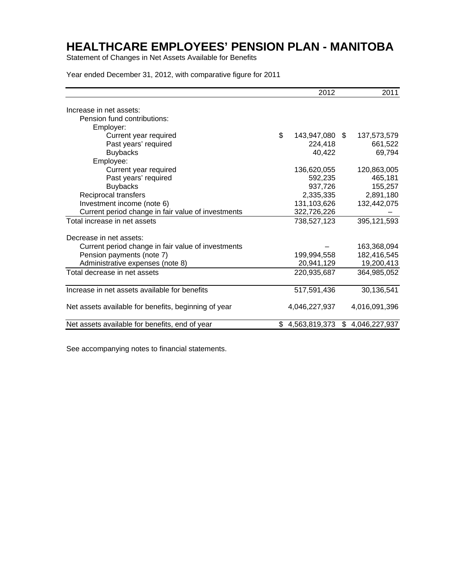Statement of Changes in Net Assets Available for Benefits

Year ended December 31, 2012, with comparative figure for 2011

|                                                      | 2012                 | 2011            |
|------------------------------------------------------|----------------------|-----------------|
| Increase in net assets:                              |                      |                 |
| Pension fund contributions:                          |                      |                 |
| Employer:                                            |                      |                 |
| Current year required                                | \$<br>143,947,080 \$ | 137,573,579     |
| Past years' required                                 | 224,418              | 661,522         |
| <b>Buybacks</b>                                      | 40,422               | 69,794          |
| Employee:                                            |                      |                 |
| Current year required                                | 136,620,055          | 120,863,005     |
| Past years' required                                 | 592.235              | 465,181         |
| <b>Buybacks</b>                                      | 937,726              | 155,257         |
| Reciprocal transfers                                 | 2,335,335            | 2,891,180       |
| Investment income (note 6)                           | 131,103,626          | 132,442,075     |
| Current period change in fair value of investments   | 322,726,226          |                 |
| Total increase in net assets                         | 738,527,123          | 395,121,593     |
| Decrease in net assets:                              |                      |                 |
| Current period change in fair value of investments   |                      | 163,368,094     |
| Pension payments (note 7)                            | 199,994,558          | 182,416,545     |
| Administrative expenses (note 8)                     | 20,941,129           | 19,200,413      |
| Total decrease in net assets                         | 220,935,687          | 364,985,052     |
| Increase in net assets available for benefits        | 517,591,436          | 30,136,541      |
| Net assets available for benefits, beginning of year | 4,046,227,937        | 4,016,091,396   |
| Net assets available for benefits, end of year       | \$4,563,819,373      | \$4,046,227,937 |

See accompanying notes to financial statements.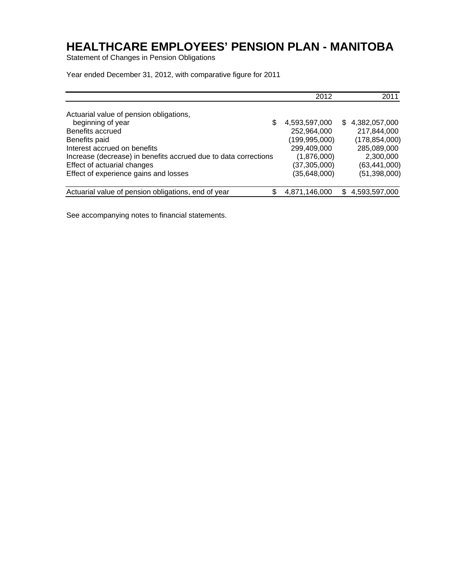Statement of Changes in Pension Obligations

Year ended December 31, 2012, with comparative figure for 2011

|                                                                 |   | 2012            | 2011            |
|-----------------------------------------------------------------|---|-----------------|-----------------|
| Actuarial value of pension obligations,                         |   |                 |                 |
| beginning of year                                               | S | 4,593,597,000   | \$4,382,057,000 |
| Benefits accrued                                                |   | 252,964,000     | 217,844,000     |
| Benefits paid                                                   |   | (199, 995, 000) | (178, 854, 000) |
| Interest accrued on benefits                                    |   | 299,409,000     | 285,089,000     |
| Increase (decrease) in benefits accrued due to data corrections |   | (1,876,000)     | 2,300,000       |
| Effect of actuarial changes                                     |   | (37,305,000)    | (63, 441, 000)  |
| Effect of experience gains and losses                           |   | (35, 648, 000)  | (51, 398, 000)  |
|                                                                 |   |                 |                 |
| Actuarial value of pension obligations, end of year             | S | 4,871,146,000   | \$4,593,597,000 |

See accompanying notes to financial statements.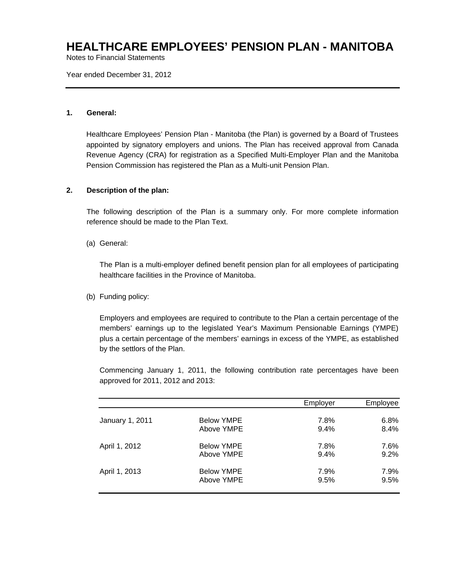Notes to Financial Statements

Year ended December 31, 2012

### **1. General:**

Healthcare Employees' Pension Plan - Manitoba (the Plan) is governed by a Board of Trustees appointed by signatory employers and unions. The Plan has received approval from Canada Revenue Agency (CRA) for registration as a Specified Multi-Employer Plan and the Manitoba Pension Commission has registered the Plan as a Multi-unit Pension Plan.

### **2. Description of the plan:**

The following description of the Plan is a summary only. For more complete information reference should be made to the Plan Text.

(a) General:

The Plan is a multi-employer defined benefit pension plan for all employees of participating healthcare facilities in the Province of Manitoba.

### (b) Funding policy:

Employers and employees are required to contribute to the Plan a certain percentage of the members' earnings up to the legislated Year's Maximum Pensionable Earnings (YMPE) plus a certain percentage of the members' earnings in excess of the YMPE, as established by the settlors of the Plan.

Commencing January 1, 2011, the following contribution rate percentages have been approved for 2011, 2012 and 2013:

|                 |                   | Employer | Employee |
|-----------------|-------------------|----------|----------|
| January 1, 2011 | <b>Below YMPE</b> | 7.8%     | 6.8%     |
|                 | Above YMPE        | 9.4%     | 8.4%     |
| April 1, 2012   | <b>Below YMPE</b> | 7.8%     | 7.6%     |
|                 | Above YMPE        | 9.4%     | 9.2%     |
| April 1, 2013   | <b>Below YMPE</b> | 7.9%     | 7.9%     |
|                 | Above YMPE        | 9.5%     | 9.5%     |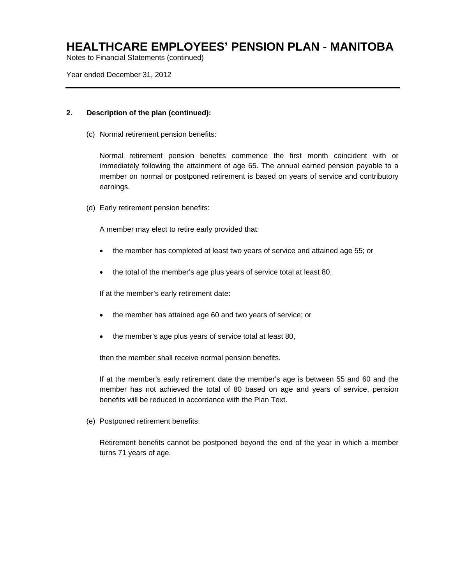Notes to Financial Statements (continued)

Year ended December 31, 2012

### **2. Description of the plan (continued):**

(c) Normal retirement pension benefits:

Normal retirement pension benefits commence the first month coincident with or immediately following the attainment of age 65. The annual earned pension payable to a member on normal or postponed retirement is based on years of service and contributory earnings.

(d) Early retirement pension benefits:

A member may elect to retire early provided that:

- the member has completed at least two years of service and attained age 55; or
- the total of the member's age plus years of service total at least 80.

If at the member's early retirement date:

- the member has attained age 60 and two years of service; or
- the member's age plus years of service total at least 80,

then the member shall receive normal pension benefits.

If at the member's early retirement date the member's age is between 55 and 60 and the member has not achieved the total of 80 based on age and years of service, pension benefits will be reduced in accordance with the Plan Text.

(e) Postponed retirement benefits:

Retirement benefits cannot be postponed beyond the end of the year in which a member turns 71 years of age.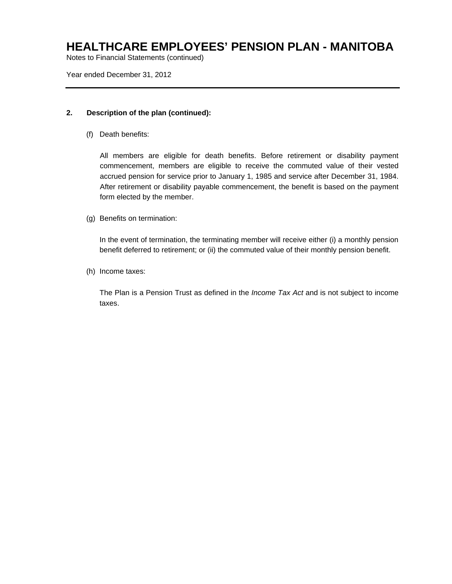Notes to Financial Statements (continued)

Year ended December 31, 2012

### **2. Description of the plan (continued):**

(f) Death benefits:

All members are eligible for death benefits. Before retirement or disability payment commencement, members are eligible to receive the commuted value of their vested accrued pension for service prior to January 1, 1985 and service after December 31, 1984. After retirement or disability payable commencement, the benefit is based on the payment form elected by the member.

(g) Benefits on termination:

In the event of termination, the terminating member will receive either (i) a monthly pension benefit deferred to retirement; or (ii) the commuted value of their monthly pension benefit.

(h) Income taxes:

The Plan is a Pension Trust as defined in the *Income Tax Act* and is not subject to income taxes.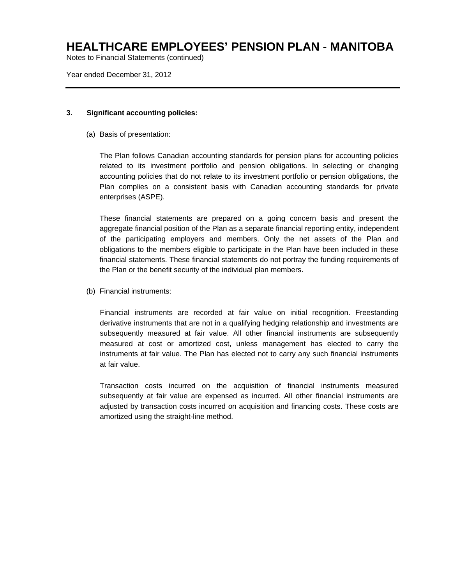Notes to Financial Statements (continued)

Year ended December 31, 2012

### **3. Significant accounting policies:**

(a) Basis of presentation:

The Plan follows Canadian accounting standards for pension plans for accounting policies related to its investment portfolio and pension obligations. In selecting or changing accounting policies that do not relate to its investment portfolio or pension obligations, the Plan complies on a consistent basis with Canadian accounting standards for private enterprises (ASPE).

These financial statements are prepared on a going concern basis and present the aggregate financial position of the Plan as a separate financial reporting entity, independent of the participating employers and members. Only the net assets of the Plan and obligations to the members eligible to participate in the Plan have been included in these financial statements. These financial statements do not portray the funding requirements of the Plan or the benefit security of the individual plan members.

(b) Financial instruments:

Financial instruments are recorded at fair value on initial recognition. Freestanding derivative instruments that are not in a qualifying hedging relationship and investments are subsequently measured at fair value. All other financial instruments are subsequently measured at cost or amortized cost, unless management has elected to carry the instruments at fair value. The Plan has elected not to carry any such financial instruments at fair value.

Transaction costs incurred on the acquisition of financial instruments measured subsequently at fair value are expensed as incurred. All other financial instruments are adjusted by transaction costs incurred on acquisition and financing costs. These costs are amortized using the straight-line method.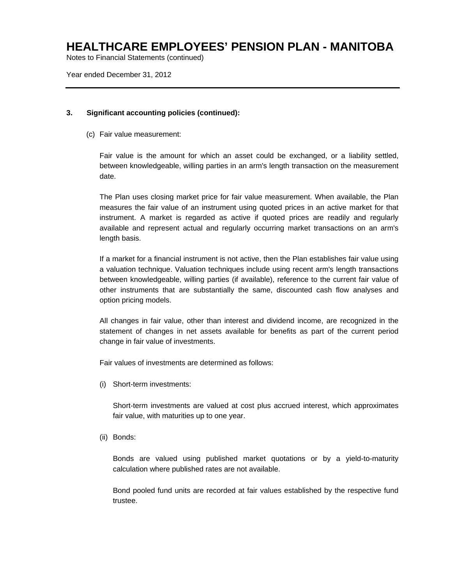Notes to Financial Statements (continued)

Year ended December 31, 2012

### **3. Significant accounting policies (continued):**

(c) Fair value measurement:

Fair value is the amount for which an asset could be exchanged, or a liability settled, between knowledgeable, willing parties in an arm's length transaction on the measurement date.

The Plan uses closing market price for fair value measurement. When available, the Plan measures the fair value of an instrument using quoted prices in an active market for that instrument. A market is regarded as active if quoted prices are readily and regularly available and represent actual and regularly occurring market transactions on an arm's length basis.

If a market for a financial instrument is not active, then the Plan establishes fair value using a valuation technique. Valuation techniques include using recent arm's length transactions between knowledgeable, willing parties (if available), reference to the current fair value of other instruments that are substantially the same, discounted cash flow analyses and option pricing models.

All changes in fair value, other than interest and dividend income, are recognized in the statement of changes in net assets available for benefits as part of the current period change in fair value of investments.

Fair values of investments are determined as follows:

(i) Short-term investments:

Short-term investments are valued at cost plus accrued interest, which approximates fair value, with maturities up to one year.

(ii) Bonds:

Bonds are valued using published market quotations or by a yield-to-maturity calculation where published rates are not available.

Bond pooled fund units are recorded at fair values established by the respective fund trustee.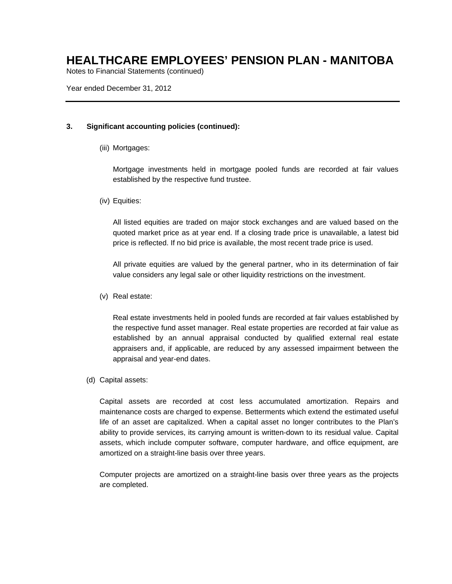Notes to Financial Statements (continued)

Year ended December 31, 2012

## **3. Significant accounting policies (continued):**

(iii) Mortgages:

Mortgage investments held in mortgage pooled funds are recorded at fair values established by the respective fund trustee.

(iv) Equities:

All listed equities are traded on major stock exchanges and are valued based on the quoted market price as at year end. If a closing trade price is unavailable, a latest bid price is reflected. If no bid price is available, the most recent trade price is used.

All private equities are valued by the general partner, who in its determination of fair value considers any legal sale or other liquidity restrictions on the investment.

(v) Real estate:

Real estate investments held in pooled funds are recorded at fair values established by the respective fund asset manager. Real estate properties are recorded at fair value as established by an annual appraisal conducted by qualified external real estate appraisers and, if applicable, are reduced by any assessed impairment between the appraisal and year-end dates.

(d) Capital assets:

Capital assets are recorded at cost less accumulated amortization. Repairs and maintenance costs are charged to expense. Betterments which extend the estimated useful life of an asset are capitalized. When a capital asset no longer contributes to the Plan's ability to provide services, its carrying amount is written-down to its residual value. Capital assets, which include computer software, computer hardware, and office equipment, are amortized on a straight-line basis over three years.

Computer projects are amortized on a straight-line basis over three years as the projects are completed.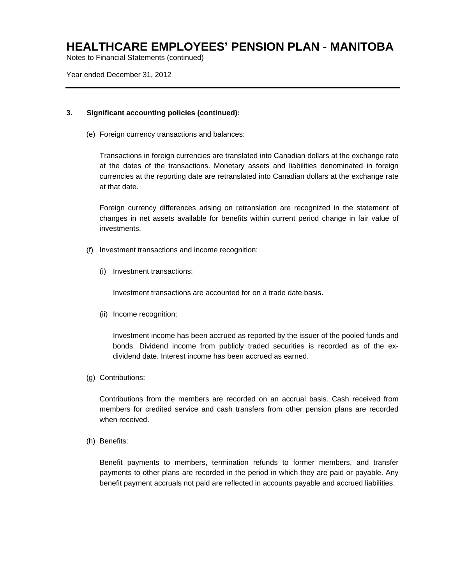Notes to Financial Statements (continued)

Year ended December 31, 2012

### **3. Significant accounting policies (continued):**

(e) Foreign currency transactions and balances:

Transactions in foreign currencies are translated into Canadian dollars at the exchange rate at the dates of the transactions. Monetary assets and liabilities denominated in foreign currencies at the reporting date are retranslated into Canadian dollars at the exchange rate at that date.

Foreign currency differences arising on retranslation are recognized in the statement of changes in net assets available for benefits within current period change in fair value of investments.

- (f) Investment transactions and income recognition:
	- (i) Investment transactions:

Investment transactions are accounted for on a trade date basis.

(ii) Income recognition:

Investment income has been accrued as reported by the issuer of the pooled funds and bonds. Dividend income from publicly traded securities is recorded as of the exdividend date. Interest income has been accrued as earned.

(g) Contributions:

Contributions from the members are recorded on an accrual basis. Cash received from members for credited service and cash transfers from other pension plans are recorded when received.

(h) Benefits:

Benefit payments to members, termination refunds to former members, and transfer payments to other plans are recorded in the period in which they are paid or payable. Any benefit payment accruals not paid are reflected in accounts payable and accrued liabilities.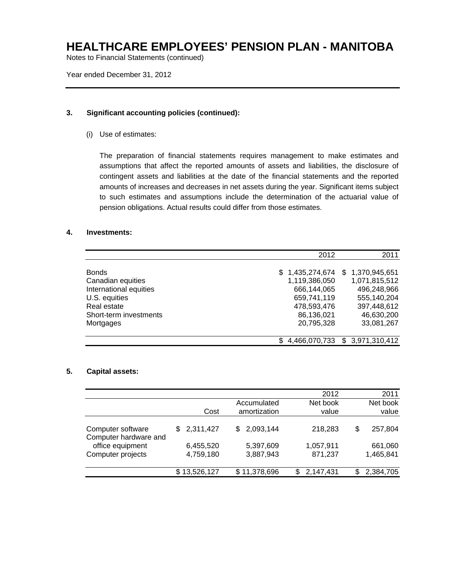Notes to Financial Statements (continued)

Year ended December 31, 2012

### **3. Significant accounting policies (continued):**

(i) Use of estimates:

The preparation of financial statements requires management to make estimates and assumptions that affect the reported amounts of assets and liabilities, the disclosure of contingent assets and liabilities at the date of the financial statements and the reported amounts of increases and decreases in net assets during the year. Significant items subject to such estimates and assumptions include the determination of the actuarial value of pension obligations. Actual results could differ from those estimates.

### **4. Investments:**

|                        | 2012                | 2011            |
|------------------------|---------------------|-----------------|
|                        |                     |                 |
| <b>Bonds</b>           | \$1,435,274,674     | \$1,370,945,651 |
| Canadian equities      | 1,119,386,050       | 1,071,815,512   |
| International equities | 666,144,065         | 496,248,966     |
| U.S. equities          | 659,741,119         | 555,140,204     |
| Real estate            | 478,593,476         | 397,448,612     |
| Short-term investments | 86,136,021          | 46,630,200      |
| Mortgages              | 20,795,328          | 33,081,267      |
|                        |                     |                 |
|                        | 4.466.070.733<br>\$ | \$3,971,310,412 |

### **5. Capital assets:**

|                  |                 | 2012           | 2011           |
|------------------|-----------------|----------------|----------------|
|                  | Accumulated     | Net book       | Net book       |
| Cost             | amortization    | value          | value          |
|                  |                 |                |                |
| 2,311,427<br>SS. | 2,093,144<br>S. | 218,283        | \$<br>257,804  |
|                  |                 |                |                |
| 6,455,520        | 5,397,609       | 1,057,911      | 661,060        |
| 4,759,180        | 3,887,943       | 871,237        | 1,465,841      |
|                  |                 |                |                |
| \$13,526,127     | \$11,378,696    | 2,147,431<br>S | 2,384,705<br>S |
|                  |                 |                |                |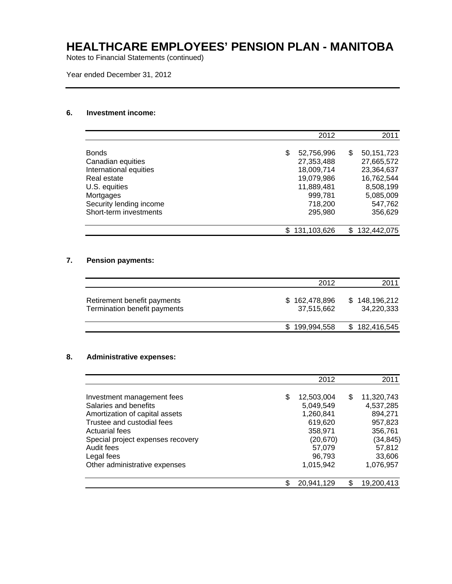Notes to Financial Statements (continued)

Year ended December 31, 2012

## **6. Investment income:**

|                         | 2012             |    | 2011        |
|-------------------------|------------------|----|-------------|
|                         |                  |    |             |
| <b>Bonds</b>            | \$<br>52,756,996 | S  | 50,151,723  |
| Canadian equities       | 27,353,488       |    | 27,665,572  |
| International equities  | 18,009,714       |    | 23,364,637  |
| Real estate             | 19,079,986       |    | 16,762,544  |
| U.S. equities           | 11,889,481       |    | 8,508,199   |
| Mortgages               | 999,781          |    | 5,085,009   |
| Security lending income | 718,200          |    | 547,762     |
| Short-term investments  | 295,980          |    | 356,629     |
|                         | 131,103,626      | S. | 132,442,075 |

## **7. Pension payments:**

|                                                             | 2012                        | 2011                        |
|-------------------------------------------------------------|-----------------------------|-----------------------------|
| Retirement benefit payments<br>Termination benefit payments | \$162,478,896<br>37.515.662 | \$148,196,212<br>34.220.333 |
|                                                             | \$199.994.558               | \$182,416,545               |

### **8. Administrative expenses:**

|                                   |    | 2012       |    | 2011       |
|-----------------------------------|----|------------|----|------------|
|                                   |    |            |    |            |
| Investment management fees        | \$ | 12,503,004 | \$ | 11,320,743 |
| Salaries and benefits             |    | 5,049,549  |    | 4,537,285  |
| Amortization of capital assets    |    | 1,260,841  |    | 894,271    |
| Trustee and custodial fees        |    | 619,620    |    | 957,823    |
| <b>Actuarial fees</b>             |    | 358,971    |    | 356,761    |
| Special project expenses recovery |    | (20, 670)  |    | (34, 845)  |
| Audit fees                        |    | 57,079     |    | 57,812     |
| Legal fees                        |    | 96,793     |    | 33,606     |
| Other administrative expenses     |    | 1,015,942  |    | 1,076,957  |
|                                   | S  | 20,941,129 | S  | 19,200,413 |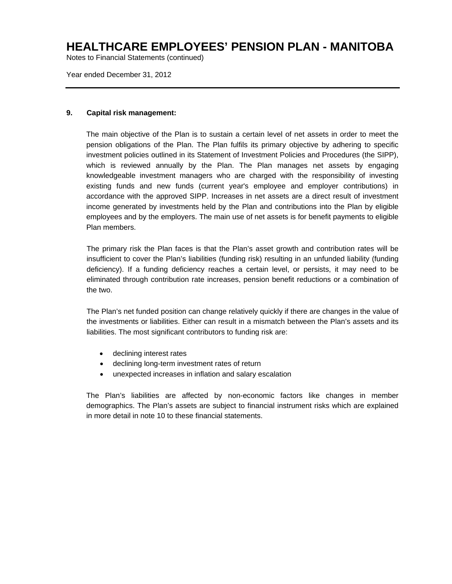Notes to Financial Statements (continued)

Year ended December 31, 2012

### **9. Capital risk management:**

The main objective of the Plan is to sustain a certain level of net assets in order to meet the pension obligations of the Plan. The Plan fulfils its primary objective by adhering to specific investment policies outlined in its Statement of Investment Policies and Procedures (the SIPP), which is reviewed annually by the Plan. The Plan manages net assets by engaging knowledgeable investment managers who are charged with the responsibility of investing existing funds and new funds (current year's employee and employer contributions) in accordance with the approved SIPP. Increases in net assets are a direct result of investment income generated by investments held by the Plan and contributions into the Plan by eligible employees and by the employers. The main use of net assets is for benefit payments to eligible Plan members.

The primary risk the Plan faces is that the Plan's asset growth and contribution rates will be insufficient to cover the Plan's liabilities (funding risk) resulting in an unfunded liability (funding deficiency). If a funding deficiency reaches a certain level, or persists, it may need to be eliminated through contribution rate increases, pension benefit reductions or a combination of the two.

The Plan's net funded position can change relatively quickly if there are changes in the value of the investments or liabilities. Either can result in a mismatch between the Plan's assets and its liabilities. The most significant contributors to funding risk are:

- declining interest rates
- declining long-term investment rates of return
- unexpected increases in inflation and salary escalation

The Plan's liabilities are affected by non-economic factors like changes in member demographics. The Plan's assets are subject to financial instrument risks which are explained in more detail in note 10 to these financial statements.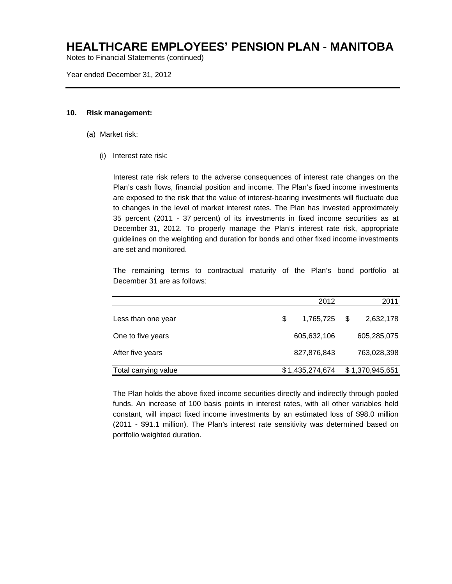Notes to Financial Statements (continued)

Year ended December 31, 2012

#### **10. Risk management:**

- (a) Market risk:
	- (i) Interest rate risk:

Interest rate risk refers to the adverse consequences of interest rate changes on the Plan's cash flows, financial position and income. The Plan's fixed income investments are exposed to the risk that the value of interest-bearing investments will fluctuate due to changes in the level of market interest rates. The Plan has invested approximately 35 percent (2011 - 37 percent) of its investments in fixed income securities as at December 31, 2012. To properly manage the Plan's interest rate risk, appropriate guidelines on the weighting and duration for bonds and other fixed income investments are set and monitored.

The remaining terms to contractual maturity of the Plan's bond portfolio at December 31 are as follows:

|                      |   | 2012            |   | 2011            |
|----------------------|---|-----------------|---|-----------------|
| Less than one year   | S | 1,765,725       | S | 2,632,178       |
| One to five years    |   | 605,632,106     |   | 605,285,075     |
| After five years     |   | 827,876,843     |   | 763,028,398     |
| Total carrying value |   | \$1,435,274,674 |   | \$1,370,945,651 |

The Plan holds the above fixed income securities directly and indirectly through pooled funds. An increase of 100 basis points in interest rates, with all other variables held constant, will impact fixed income investments by an estimated loss of \$98.0 million (2011 - \$91.1 million). The Plan's interest rate sensitivity was determined based on portfolio weighted duration.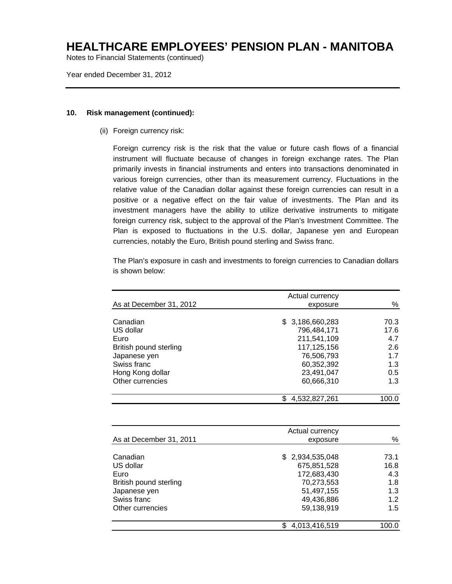Notes to Financial Statements (continued)

Year ended December 31, 2012

#### **10. Risk management (continued):**

(ii) Foreign currency risk:

Foreign currency risk is the risk that the value or future cash flows of a financial instrument will fluctuate because of changes in foreign exchange rates. The Plan primarily invests in financial instruments and enters into transactions denominated in various foreign currencies, other than its measurement currency. Fluctuations in the relative value of the Canadian dollar against these foreign currencies can result in a positive or a negative effect on the fair value of investments. The Plan and its investment managers have the ability to utilize derivative instruments to mitigate foreign currency risk, subject to the approval of the Plan's Investment Committee. The Plan is exposed to fluctuations in the U.S. dollar, Japanese yen and European currencies, notably the Euro, British pound sterling and Swiss franc.

The Plan's exposure in cash and investments to foreign currencies to Canadian dollars is shown below:

| Actual currency      |                  |
|----------------------|------------------|
| exposure             | %                |
|                      |                  |
|                      | 70.3             |
| 796,484,171          | 17.6             |
| 211,541,109          | 4.7              |
| 117,125,156          | 2.6              |
| 76,506,793           | 1.7              |
| 60,352,392           | 1.3              |
| 23,491,047           | 0.5              |
| 60,666,310           | 1.3              |
| \$.<br>4,532,827,261 | 100.0            |
|                      | \$ 3,186,660,283 |

| As at December 31, 2011                                                                                    | Actual currency<br>exposure                                                                            | %                                               |
|------------------------------------------------------------------------------------------------------------|--------------------------------------------------------------------------------------------------------|-------------------------------------------------|
| Canadian<br>US dollar<br>Euro<br>British pound sterling<br>Japanese yen<br>Swiss franc<br>Other currencies | \$ 2,934,535,048<br>675,851,528<br>172,683,430<br>70,273,553<br>51,497,155<br>49,436,886<br>59,138,919 | 73.1<br>16.8<br>4.3<br>1.8<br>1.3<br>1.2<br>1.5 |
|                                                                                                            | 4,013,416,519                                                                                          | 100.0                                           |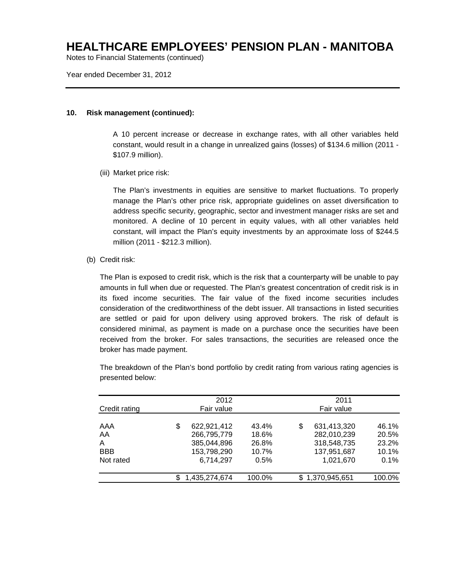Notes to Financial Statements (continued)

Year ended December 31, 2012

#### **10. Risk management (continued):**

A 10 percent increase or decrease in exchange rates, with all other variables held constant, would result in a change in unrealized gains (losses) of \$134.6 million (2011 - \$107.9 million).

(iii) Market price risk:

The Plan's investments in equities are sensitive to market fluctuations. To properly manage the Plan's other price risk, appropriate guidelines on asset diversification to address specific security, geographic, sector and investment manager risks are set and monitored. A decline of 10 percent in equity values, with all other variables held constant, will impact the Plan's equity investments by an approximate loss of \$244.5 million (2011 - \$212.3 million).

(b) Credit risk:

The Plan is exposed to credit risk, which is the risk that a counterparty will be unable to pay amounts in full when due or requested. The Plan's greatest concentration of credit risk is in its fixed income securities. The fair value of the fixed income securities includes consideration of the creditworthiness of the debt issuer. All transactions in listed securities are settled or paid for upon delivery using approved brokers. The risk of default is considered minimal, as payment is made on a purchase once the securities have been received from the broker. For sales transactions, the securities are released once the broker has made payment.

| Credit rating<br>AAA<br>AA<br>A<br><b>BBB</b><br>Not rated | 2012<br>Fair value |                                                                       |                                          | 2011<br>Fair value                                                          |                                          |  |
|------------------------------------------------------------|--------------------|-----------------------------------------------------------------------|------------------------------------------|-----------------------------------------------------------------------------|------------------------------------------|--|
|                                                            | \$                 | 622,921,412<br>266,795,779<br>385,044,896<br>153,798,290<br>6,714,297 | 43.4%<br>18.6%<br>26.8%<br>10.7%<br>0.5% | \$<br>631,413,320<br>282,010,239<br>318,548,735<br>137,951,687<br>1,021,670 | 46.1%<br>20.5%<br>23.2%<br>10.1%<br>0.1% |  |
|                                                            |                    | 1,435,274,674                                                         | 100.0%                                   | \$1,370,945,651                                                             | 100.0%                                   |  |

The breakdown of the Plan's bond portfolio by credit rating from various rating agencies is presented below: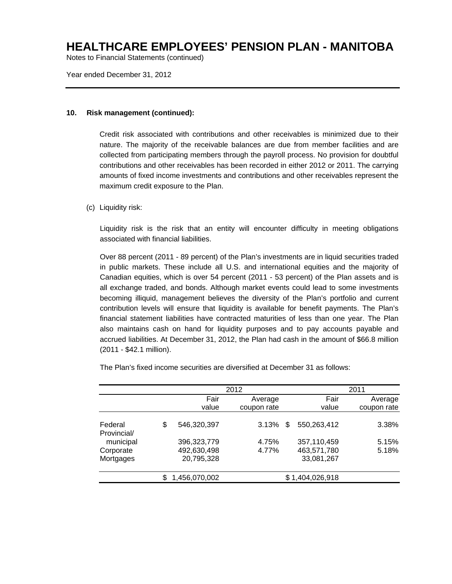Notes to Financial Statements (continued)

Year ended December 31, 2012

### **10. Risk management (continued):**

Credit risk associated with contributions and other receivables is minimized due to their nature. The majority of the receivable balances are due from member facilities and are collected from participating members through the payroll process. No provision for doubtful contributions and other receivables has been recorded in either 2012 or 2011. The carrying amounts of fixed income investments and contributions and other receivables represent the maximum credit exposure to the Plan.

### (c) Liquidity risk:

Liquidity risk is the risk that an entity will encounter difficulty in meeting obligations associated with financial liabilities.

Over 88 percent (2011 - 89 percent) of the Plan's investments are in liquid securities traded in public markets. These include all U.S. and international equities and the majority of Canadian equities, which is over 54 percent (2011 - 53 percent) of the Plan assets and is all exchange traded, and bonds. Although market events could lead to some investments becoming illiquid, management believes the diversity of the Plan's portfolio and current contribution levels will ensure that liquidity is available for benefit payments. The Plan's financial statement liabilities have contracted maturities of less than one year. The Plan also maintains cash on hand for liquidity purposes and to pay accounts payable and accrued liabilities. At December 31, 2012, the Plan had cash in the amount of \$66.8 million (2011 - \$42.1 million).

The Plan's fixed income securities are diversified at December 31 as follows:

|                        | 2012                      |             |   | 2011                      |             |
|------------------------|---------------------------|-------------|---|---------------------------|-------------|
|                        | Fair                      | Average     |   | Fair                      | Average     |
|                        | value                     | coupon rate |   | value                     | coupon rate |
| Federal<br>Provincial/ | \$<br>546.320.397         | 3.13%       | S | 550,263,412               | 3.38%       |
| municipal              | 396,323,779               | 4.75%       |   | 357,110,459               | 5.15%       |
| Corporate<br>Mortgages | 492,630,498<br>20,795,328 | 4.77%       |   | 463,571,780<br>33,081,267 | 5.18%       |
|                        | 1,456,070,002             |             |   | \$1,404,026,918           |             |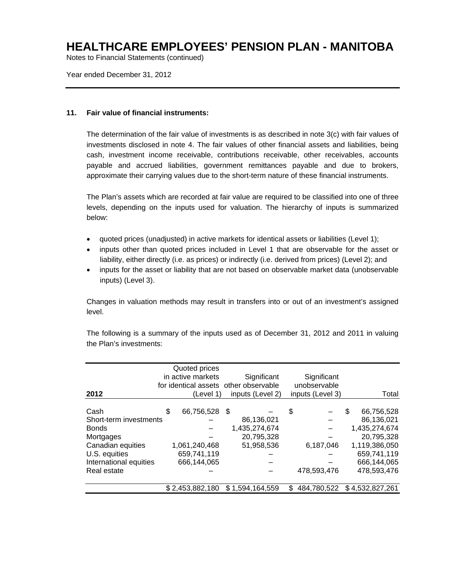Notes to Financial Statements (continued)

Year ended December 31, 2012

### **11. Fair value of financial instruments:**

The determination of the fair value of investments is as described in note 3(c) with fair values of investments disclosed in note 4. The fair values of other financial assets and liabilities, being cash, investment income receivable, contributions receivable, other receivables, accounts payable and accrued liabilities, government remittances payable and due to brokers, approximate their carrying values due to the short-term nature of these financial instruments.

The Plan's assets which are recorded at fair value are required to be classified into one of three levels, depending on the inputs used for valuation. The hierarchy of inputs is summarized below:

- quoted prices (unadjusted) in active markets for identical assets or liabilities (Level 1);
- inputs other than quoted prices included in Level 1 that are observable for the asset or liability, either directly (i.e. as prices) or indirectly (i.e. derived from prices) (Level 2); and
- inputs for the asset or liability that are not based on observable market data (unobservable inputs) (Level 3).

Changes in valuation methods may result in transfers into or out of an investment's assigned level.

| 2012                                                                                                                                       | Quoted prices<br>in active markets<br>(Level 1)                 | Significant<br>for identical assets other observable<br>inputs (Level 2) | Significant<br>unobservable<br>inputs (Level 3) | Total                                                                                                                      |
|--------------------------------------------------------------------------------------------------------------------------------------------|-----------------------------------------------------------------|--------------------------------------------------------------------------|-------------------------------------------------|----------------------------------------------------------------------------------------------------------------------------|
| Cash<br>Short-term investments<br><b>Bonds</b><br>Mortgages<br>Canadian equities<br>U.S. equities<br>International equities<br>Real estate | \$<br>66,756,528<br>1,061,240,468<br>659,741,119<br>666,144,065 | - \$<br>86,136,021<br>1,435,274,674<br>20,795,328<br>51,958,536          | \$<br>6,187,046<br>478,593,476                  | 66,756,528<br>S<br>86,136,021<br>1,435,274,674<br>20,795,328<br>1,119,386,050<br>659,741,119<br>666,144,065<br>478,593,476 |
|                                                                                                                                            | \$2,453,882,180                                                 | \$1,594,164,559                                                          | 484,780,522<br>S                                | \$4,532,827,261                                                                                                            |

The following is a summary of the inputs used as of December 31, 2012 and 2011 in valuing the Plan's investments: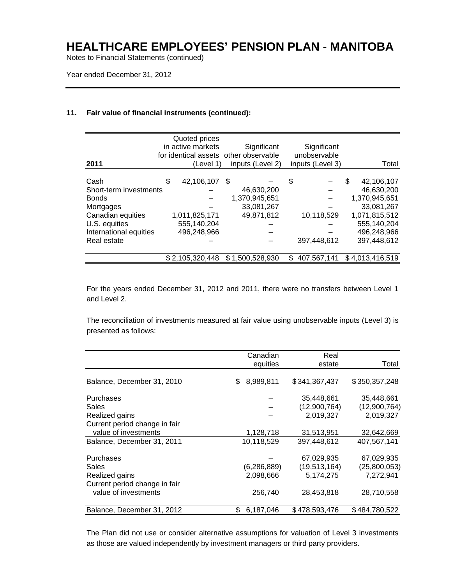Notes to Financial Statements (continued)

Year ended December 31, 2012

### **11. Fair value of financial instruments (continued):**

| 2011                   | Quoted prices<br>in active markets<br>(Level 1) | Significant<br>for identical assets other observable<br>inputs (Level 2) |    | Significant<br>unobservable<br>inputs (Level 3) |                 | Total         |
|------------------------|-------------------------------------------------|--------------------------------------------------------------------------|----|-------------------------------------------------|-----------------|---------------|
|                        |                                                 |                                                                          |    |                                                 |                 |               |
| Cash                   | \$<br>42,106,107                                | \$                                                                       | \$ |                                                 | \$              | 42,106,107    |
| Short-term investments |                                                 | 46,630,200                                                               |    |                                                 |                 | 46,630,200    |
| <b>Bonds</b>           |                                                 | 1,370,945,651                                                            |    |                                                 |                 | 1,370,945,651 |
| Mortgages              |                                                 | 33,081,267                                                               |    |                                                 |                 | 33,081,267    |
| Canadian equities      | 1,011,825,171                                   | 49,871,812                                                               |    | 10,118,529                                      |                 | 1,071,815,512 |
| U.S. equities          | 555,140,204                                     |                                                                          |    |                                                 |                 | 555,140,204   |
| International equities | 496,248,966                                     |                                                                          |    |                                                 |                 | 496,248,966   |
| Real estate            |                                                 |                                                                          |    | 397,448,612                                     |                 | 397,448,612   |
|                        | \$2,105,320,448                                 | \$1,500,528,930                                                          | S  | 407,567,141                                     | \$4,013,416,519 |               |

For the years ended December 31, 2012 and 2011, there were no transfers between Level 1 and Level 2.

The reconciliation of investments measured at fair value using unobservable inputs (Level 3) is presented as follows:

|                               |   | Canadian      | Real          |               |
|-------------------------------|---|---------------|---------------|---------------|
|                               |   | equities      | estate        | Total         |
| Balance, December 31, 2010    | S | 8,989,811     | \$341,367,437 | \$350,357,248 |
|                               |   |               |               |               |
| Purchases                     |   |               | 35,448,661    | 35,448,661    |
| <b>Sales</b>                  |   |               | (12,900,764)  | (12,900,764)  |
| Realized gains                |   |               | 2,019,327     | 2,019,327     |
| Current period change in fair |   |               |               |               |
| value of investments          |   | 1,128,718     | 31,513,951    | 32,642,669    |
| Balance, December 31, 2011    |   | 10,118,529    | 397,448,612   | 407,567,141   |
| Purchases                     |   |               | 67,029,935    | 67,029,935    |
| Sales                         |   | (6, 286, 889) | (19,513,164)  | (25,800,053)  |
| Realized gains                |   | 2,098,666     | 5,174,275     | 7,272,941     |
| Current period change in fair |   |               |               |               |
| value of investments          |   | 256,740       | 28,453,818    | 28,710,558    |
| Balance, December 31, 2012    | S | 6,187,046     | \$478,593,476 | \$484,780,522 |

The Plan did not use or consider alternative assumptions for valuation of Level 3 investments as those are valued independently by investment managers or third party providers.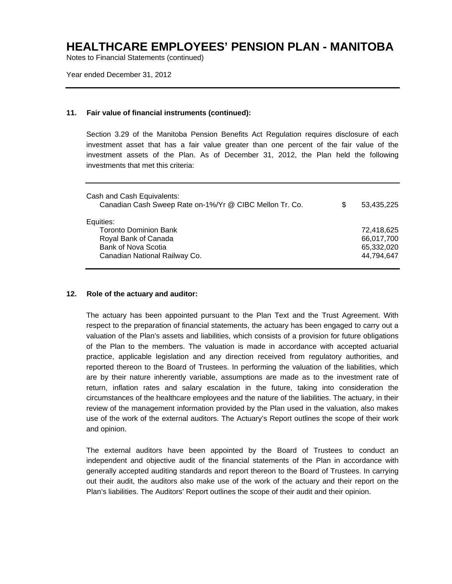Notes to Financial Statements (continued)

Year ended December 31, 2012

### **11. Fair value of financial instruments (continued):**

Section 3.29 of the Manitoba Pension Benefits Act Regulation requires disclosure of each investment asset that has a fair value greater than one percent of the fair value of the investment assets of the Plan. As of December 31, 2012, the Plan held the following investments that met this criteria:

| Cash and Cash Equivalents:<br>Canadian Cash Sweep Rate on-1%/Yr @ CIBC Mellon Tr. Co.                                            | \$<br>53.435.225                                     |
|----------------------------------------------------------------------------------------------------------------------------------|------------------------------------------------------|
| Equities:<br><b>Toronto Dominion Bank</b><br>Royal Bank of Canada<br><b>Bank of Nova Scotia</b><br>Canadian National Railway Co. | 72.418.625<br>66,017,700<br>65,332,020<br>44,794,647 |

## **12. Role of the actuary and auditor:**

The actuary has been appointed pursuant to the Plan Text and the Trust Agreement. With respect to the preparation of financial statements, the actuary has been engaged to carry out a valuation of the Plan's assets and liabilities, which consists of a provision for future obligations of the Plan to the members. The valuation is made in accordance with accepted actuarial practice, applicable legislation and any direction received from regulatory authorities, and reported thereon to the Board of Trustees. In performing the valuation of the liabilities, which are by their nature inherently variable, assumptions are made as to the investment rate of return, inflation rates and salary escalation in the future, taking into consideration the circumstances of the healthcare employees and the nature of the liabilities. The actuary, in their review of the management information provided by the Plan used in the valuation, also makes use of the work of the external auditors. The Actuary's Report outlines the scope of their work and opinion.

The external auditors have been appointed by the Board of Trustees to conduct an independent and objective audit of the financial statements of the Plan in accordance with generally accepted auditing standards and report thereon to the Board of Trustees. In carrying out their audit, the auditors also make use of the work of the actuary and their report on the Plan's liabilities. The Auditors' Report outlines the scope of their audit and their opinion.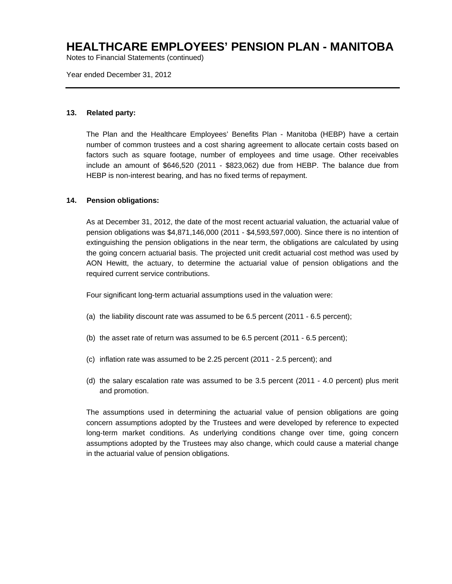Notes to Financial Statements (continued)

Year ended December 31, 2012

### **13. Related party:**

The Plan and the Healthcare Employees' Benefits Plan - Manitoba (HEBP) have a certain number of common trustees and a cost sharing agreement to allocate certain costs based on factors such as square footage, number of employees and time usage. Other receivables include an amount of \$646,520 (2011 - \$823,062) due from HEBP. The balance due from HEBP is non-interest bearing, and has no fixed terms of repayment.

### **14. Pension obligations:**

As at December 31, 2012, the date of the most recent actuarial valuation, the actuarial value of pension obligations was \$4,871,146,000 (2011 - \$4,593,597,000). Since there is no intention of extinguishing the pension obligations in the near term, the obligations are calculated by using the going concern actuarial basis. The projected unit credit actuarial cost method was used by AON Hewitt, the actuary, to determine the actuarial value of pension obligations and the required current service contributions.

Four significant long-term actuarial assumptions used in the valuation were:

- (a) the liability discount rate was assumed to be 6.5 percent (2011 6.5 percent);
- (b) the asset rate of return was assumed to be 6.5 percent (2011 6.5 percent);
- (c) inflation rate was assumed to be 2.25 percent (2011 2.5 percent); and
- (d) the salary escalation rate was assumed to be 3.5 percent (2011 4.0 percent) plus merit and promotion.

The assumptions used in determining the actuarial value of pension obligations are going concern assumptions adopted by the Trustees and were developed by reference to expected long-term market conditions. As underlying conditions change over time, going concern assumptions adopted by the Trustees may also change, which could cause a material change in the actuarial value of pension obligations.